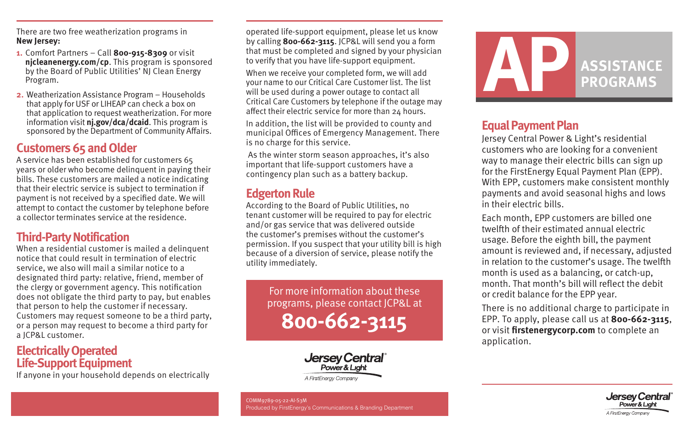There are two free weatherization programs in **New Jersey:**

- **1.** Comfort Partners Call **800-915-8309** or visit **[njcleanenergy.com/cp](https://njcleanenergy.com/cp)**. This program is sponsored by the Board of Public Utilities' NJ Clean Energy Program.
- **2.** Weatherization Assistance Program Households that apply for USF or LIHEAP can check a box on that application to request weatherization. For more information visit **[nj.gov/dca/dcaid](https://njdca-housing.dynamics365portals.us/en-US/)**. This program is sponsored by the Department of Community Affairs.

## **Customers 65 and Older**

A service has been established for customers 65 years or older who become delinquent in paying their bills. These customers are mailed a notice indicating that their electric service is subject to termination if payment is not received by a specified date. We will attempt to contact the customer by telephone before a collector terminates service at the residence.

## **Third-Party Notification**

When a residential customer is mailed a delinquent notice that could result in termination of electric service, we also will mail a similar notice to a designated third party: relative, friend, member of the clergy or government agency. This notification does not obligate the third party to pay, but enables that person to help the customer if necessary. Customers may request someone to be a third party, or a person may request to become a third party for a JCP&L customer.

#### **Electrically Operated Life-Support Equipment**

If anyone in your household depends on electrically

operated life-support equipment, please let us know by calling **800-662-3115**. JCP&L will send you a form that must be completed and signed by your physician to verify that you have life-support equipment.

When we receive your completed form, we will add your name to our Critical Care Customer list. The list will be used during a power outage to contact all Critical Care Customers by telephone if the outage may affect their electric service for more than 24 hours.

In addition, the list will be provided to county and municipal Offices of Emergency Management. There is no charge for this service.

 As the winter storm season approaches, it's also important that life-support customers have a contingency plan such as a battery backup.

## **Edgerton Rule**

According to the Board of Public Utilities, no tenant customer will be required to pay for electric and/or gas service that was delivered outside the customer's premises without the customer's permission. If you suspect that your utility bill is high because of a diversion of service, please notify the utility immediately.

For more information about these programs, please contact JCP&L at **800-662-3115**



COMM9789-05-22-AI-S3M Produced by FirstEnergy's Communications & Branding Department



#### **Equal Payment Plan**

Jersey Central Power & Light's residential customers who are looking for a convenient way to manage their electric bills can sign up for the FirstEnergy Equal Payment Plan (EPP). With EPP, customers make consistent monthly payments and avoid seasonal highs and lows in their electric bills.

Each month, EPP customers are billed one twelfth of their estimated annual electric usage. Before the eighth bill, the payment amount is reviewed and, if necessary, adjusted in relation to the customer's usage. The twelfth month is used as a balancing, or catch-up, month. That month's bill will reflect the debit or credit balance for the EPP year.

There is no additional charge to participate in EPP. To apply, please call us at **800-662-3115**, or visit **[firstenergycorp.com](https://www.firstenergycorp.com/fehome.html)** to complete an application.